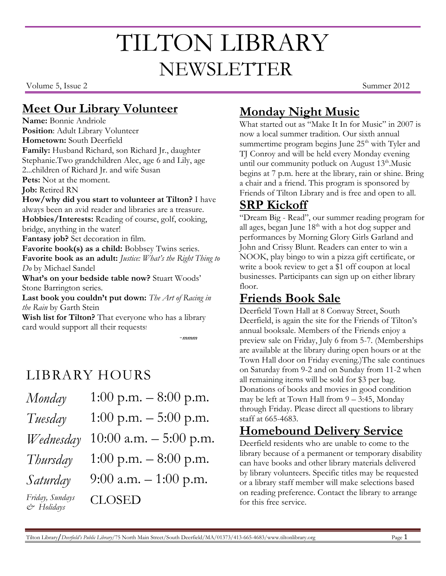# TILTON LIBRARY NEWSLETTER

Volume 5, Issue 2 Summer 2012

#### **Meet Our Library Volunteer**

**Name:** Bonnie Andriole **Position**: Adult Library Volunteer **Hometown:** South Deerfield **Family:** Husband Richard, son Richard Jr., daughter Stephanie.Two grandchildren Alec, age 6 and Lily, age 2...children of Richard Jr. and wife Susan **Pets:** Not at the moment. **Job:** Retired RN **How/why did you start to volunteer at Tilton?** I have always been an avid reader and libraries are a treasure. **Hobbies/Interests:** Reading of course, golf, cooking, bridge, anything in the water! **Fantasy job?** Set decoration in film. **Favorite book(s) as a child:** Bobbsey Twins series. **Favorite book as an adult:** *Justice: What's the Right Thing to Do* by Michael Sandel **What's on your bedside table now?** Stuart Woods' Stone Barrington series. **Last book you couldn't put down:** *The Art of Racing in the Rain* by Garth Stein **Wish list for Tilton?** That everyone who has a library

card would support all their requests!

-**mmm**

# LIBRARY HOURS

| Monday                        | 1:00 p.m. $-8:00$ p.m.   |
|-------------------------------|--------------------------|
| Tuesday                       | 1:00 p.m. $-$ 5:00 p.m.  |
| Wednesday                     | 10:00 a.m. $-$ 5:00 p.m. |
| Thursday                      | 1:00 p.m. $-8:00$ p.m.   |
| Saturday                      | 9:00 a.m. $-1:00$ p.m.   |
| Friday, Sundays<br>& Holidays | <b>CLOSED</b>            |

# **Monday Night Music**

What started out as "Make It In for Music" in 2007 is now a local summer tradition. Our sixth annual summertime program begins June 25<sup>th</sup> with Tyler and TJ Conroy and will be held every Monday evening until our community potluck on August  $13<sup>th</sup>$ . Music begins at 7 p.m. here at the library, rain or shine. Bring a chair and a friend. This program is sponsored by Friends of Tilton Library and is free and open to all.

#### **SRP Kickoff**

"Dream Big - Read", our summer reading program for all ages, began June  $18<sup>th</sup>$  with a hot dog supper and performances by Morning Glory Girls Garland and John and Crissy Blunt. Readers can enter to win a NOOK, play bingo to win a pizza gift certificate, or write a book review to get a \$1 off coupon at local businesses. Participants can sign up on either library floor.

### **Friends Book Sale**

Deerfield Town Hall at 8 Conway Street, South Deerfield, is again the site for the Friends of Tilton's annual booksale. Members of the Friends enjoy a preview sale on Friday, July 6 from 5-7. (Memberships are available at the library during open hours or at the Town Hall door on Friday evening.)The sale continues on Saturday from 9-2 and on Sunday from 11-2 when all remaining items will be sold for \$3 per bag. Donations of books and movies in good condition may be left at Town Hall from 9 – 3:45, Monday through Friday. Please direct all questions to library staff at 665-4683.

#### **Homebound Delivery Service**

Deerfield residents who are unable to come to the library because of a permanent or temporary disability can have books and other library materials delivered by library volunteers. Specific titles may be requested or a library staff member will make selections based on reading preference. Contact the library to arrange for this free service.